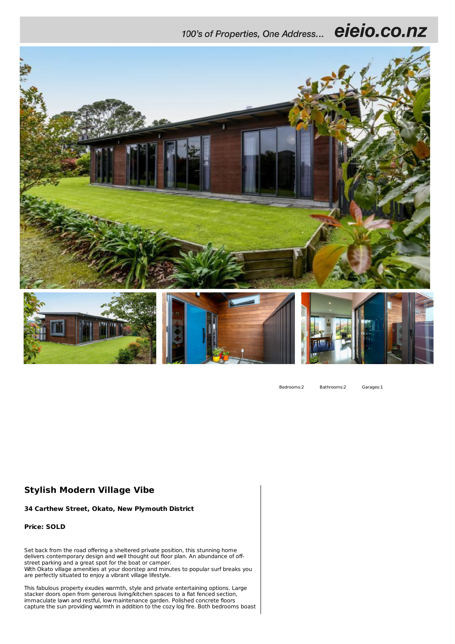eieio.co.nz 100's of Properties, One Address...



Bedrooms:2 Bathrooms:2 Garages:1

## **Stylish Modern Village Vibe**

**34 Carthew Street, Okato, New Plymouth District**

**Price: SOLD**

Set back from the road offering a sheltered private position, this stunning home delivers contemporary design and well thought out floor plan. An abundance of offstreet parking and a great spot for the boat or camper. With Okato village amenities at your doorstep and minutes to popular surf breaks you are perfectly situated to enjoy a vibrant village lifestyle.

This fabulous property exudes warmth, style and private entertaining options. Large stacker doors open from generous living/kitchen spaces to a flat fenced section, immaculate lawn and restful, low maintenance garden. Polished concrete floors capture the sun providing warmth in addition to the cozy log fire. Both bedrooms boast